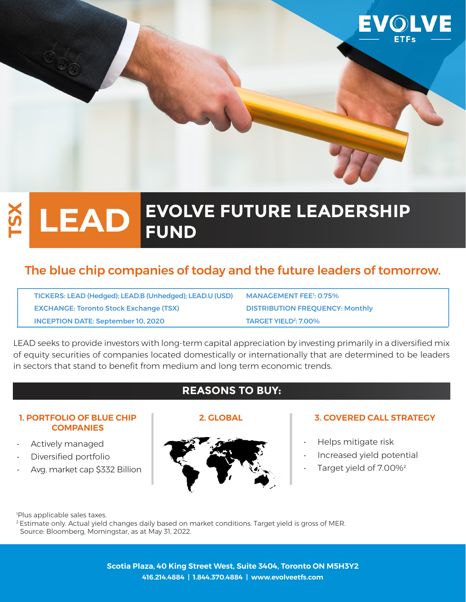

# **EVOLVE FUTURE LEADERSHIP LEAD FUND**

# The blue chip companies of today and the future leaders of tomorrow.

TICKERS: LEAD (Hedged); LEAD.B (Unhedged); LEAD.U (USD) EXCHANGE: Toronto Stock Exchange (TSX) DISTRIBUTION FREQUENCY: Monthly **INCEPTION DATE: September 10, 2020** 

MANAGEMENT FEE<sup>1</sup>: 0.75% **TARGET YIELD<sup>2</sup>: 7.00%** 

LEAD seeks to provide investors with long-term capital appreciation by investing primarily in a diversified mix of equity securities of companies located domestically or internationally that are determined to be leaders in sectors that stand to benefit from medium and long term economic trends.

# **REASONS TO BUY:**

### **1. PORTFOLIO OF BLUE CHIP COMPANIES**

- Actively managed
- Diversified portfolio
- Avg. market cap \$332 Billion



## **2. GLOBAL 3. COVERED CALL STRATEGY**

- Helps mitigate risk
- Increased yield potential
- Target yield of 7.00%2

1 Plus applicable sales taxes.

<sup>2</sup> Estimate only. Actual yield changes daily based on market conditions. Target yield is gross of MER. Source: Bloomberg, Morningstar, as at May 31, 2022.